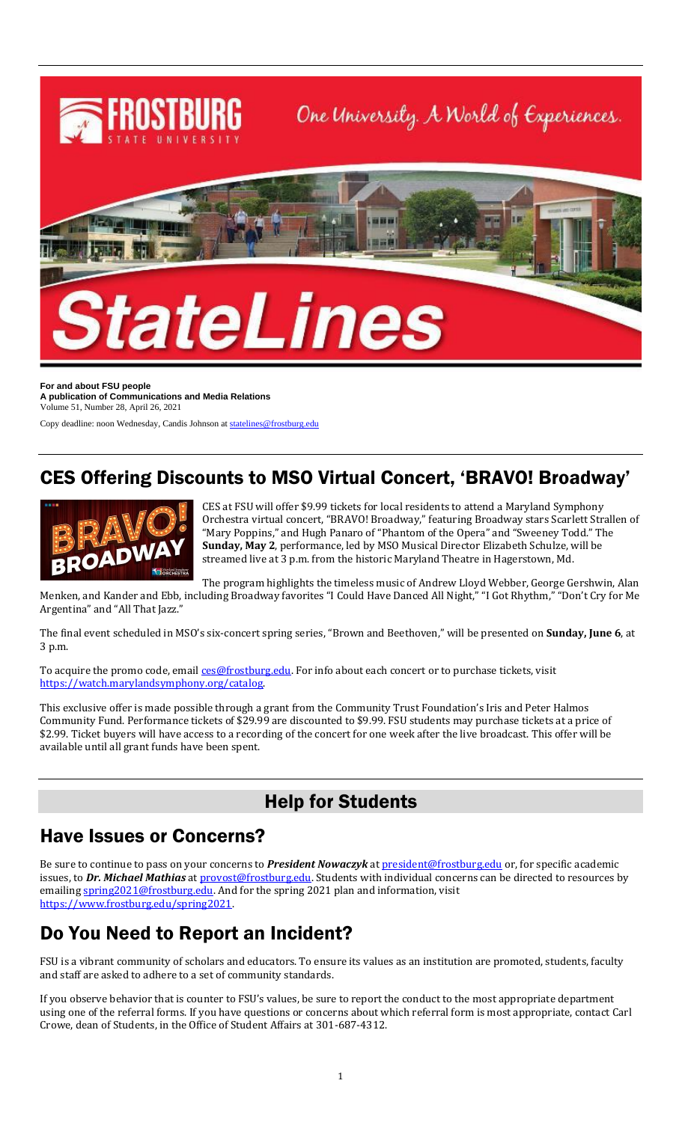

**For and about FSU people A publication of Communications and Media Relations** Volume 51, Number 28, April 26, 2021

Copy deadline: noon Wednesday, Candis Johnson a[t statelines@frostburg.edu](mailto:statelines@frostburg.edu)

## CES Offering Discounts to MSO Virtual Concert, 'BRAVO! Broadway'



CES at FSU will offer \$9.99 tickets for local residents to attend a Maryland Symphony Orchestra virtual concert, "BRAVO! Broadway," featuring Broadway stars Scarlett Strallen of "Mary Poppins," and Hugh Panaro of "Phantom of the Opera" and "Sweeney Todd." The **Sunday, May 2**, performance, led by MSO Musical Director Elizabeth Schulze, will be streamed live at 3 p.m. from the historic Maryland Theatre in Hagerstown, Md.

The program highlights the timeless music of Andrew Lloyd Webber, George Gershwin, Alan Menken, and Kander and Ebb, including Broadway favorites "I Could Have Danced All Night," "I Got Rhythm," "Don't Cry for Me Argentina" and "All That Jazz."

The final event scheduled in MSO's six-concert spring series, "Brown and Beethoven," will be presented on **Sunday, June 6**, at 3 p.m.

To acquire the promo code, emai[l ces@frostburg.edu.](mailto:ces@frostburg.edu) For info about each concert or to purchase tickets, visit [https://watch.marylandsymphony.org/catalog.](https://watch.marylandsymphony.org/catalog)

This exclusive offer is made possible through a grant from the Community Trust Foundation's Iris and Peter Halmos Community Fund. Performance tickets of \$29.99 are discounted to \$9.99. FSU students may purchase tickets at a price of \$2.99. Ticket buyers will have access to a recording of the concert for one week after the live broadcast. This offer will be available until all grant funds have been spent.

### Help for Students

### Have Issues or Concerns?

Be sure to continue to pass on your concerns to *President Nowaczyk* at [president@frostburg.edu](mailto:president@frostburg.edu) or, for specific academic issues, to *Dr. Michael Mathias* a[t provost@frostburg.edu.](mailto:provost@frostburg.edu) Students with individual concerns can be directed to resources by emailing [spring2021@frostburg.edu.](mailto:spring2021@frostburg.edu) And for the spring 2021 plan and information, visit [https://www.frostburg.edu/spring2021.](https://www.frostburg.edu/spring2021) 

## Do You Need to Report an Incident?

FSU is a vibrant community of scholars and educators. To ensure its values as an institution are promoted, students, faculty and staff are asked to adhere to a set of community standards.

If you observe behavior that is counter to FSU's values, be sure to report the conduct to the most appropriate department using one of the referral forms. If you have questions or concerns about which referral form is most appropriate, contact Carl Crowe, dean of Students, in the Office of Student Affairs at 301-687-4312.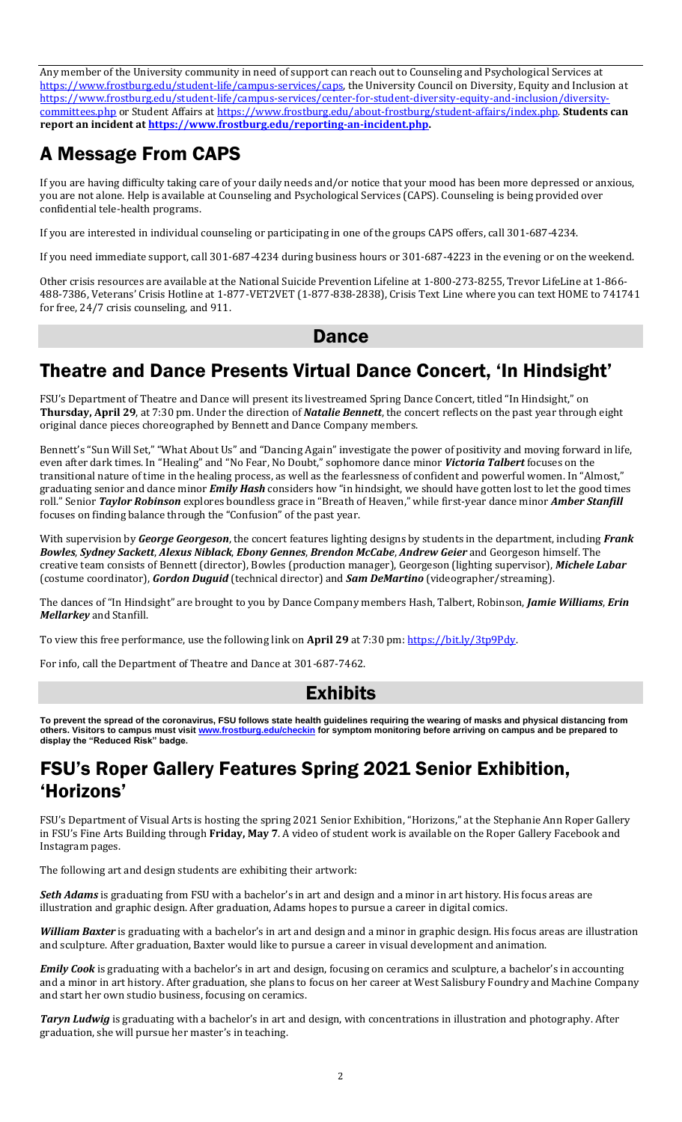Any member of the University community in need of support can reach out to Counseling and Psychological Services at [https://www.frostburg.edu/student-life/campus-services/caps,](https://www.frostburg.edu/student-life/campus-services/caps) the University Council on Diversity, Equity and Inclusion at [https://www.frostburg.edu/student-life/campus-services/center-for-student-diversity-equity-and-inclusion/diversity](https://www.frostburg.edu/student-life/campus-services/center-for-student-diversity-equity-and-inclusion/diversity-committees.php)[committees.php](https://www.frostburg.edu/student-life/campus-services/center-for-student-diversity-equity-and-inclusion/diversity-committees.php) or Student Affairs at [https://www.frostburg.edu/about-frostburg/student-affairs/index.php.](https://www.frostburg.edu/about-frostburg/student-affairs/index.php) **Students can report an incident at [https://www.frostburg.edu/reporting-an-incident.php.](https://www.frostburg.edu/reporting-an-incident.php)** 

# A Message From CAPS

If you are having difficulty taking care of your daily needs and/or notice that your mood has been more depressed or anxious, you are not alone. Help is available at Counseling and Psychological Services (CAPS). Counseling is being provided over confidential tele-health programs.

If you are interested in individual counseling or participating in one of the groups CAPS offers, call 301-687-4234.

If you need immediate support, call 301-687-4234 during business hours or 301-687-4223 in the evening or on the weekend.

Other crisis resources are available at the National Suicide Prevention Lifeline at 1-800-273-8255, Trevor LifeLine at 1-866- 488-7386, Veterans' Crisis Hotline at 1-877-VET2VET (1-877-838-2838), Crisis Text Line where you can text HOME to 741741 for free, 24/7 crisis counseling, and 911.

### **Dance**

## Theatre and Dance Presents Virtual Dance Concert, 'In Hindsight'

FSU's Department of Theatre and Dance will present its livestreamed Spring Dance Concert, titled "In Hindsight," on **Thursday, April 29**, at 7:30 pm. Under the direction of *Natalie Bennett*, the concert reflects on the past year through eight original dance pieces choreographed by Bennett and Dance Company members.

Bennett's "Sun Will Set," "What About Us" and "Dancing Again" investigate the power of positivity and moving forward in life, even after dark times. In "Healing" and "No Fear, No Doubt," sophomore dance minor *Victoria Talbert* focuses on the transitional nature of time in the healing process, as well as the fearlessness of confident and powerful women. In "Almost," graduating senior and dance minor *Emily Hash* considers how "in hindsight, we should have gotten lost to let the good times roll." Senior *Taylor Robinson* explores boundless grace in "Breath of Heaven," while first-year dance minor *Amber Stanfill* focuses on finding balance through the "Confusion" of the past year.

With supervision by *George Georgeson*, the concert features lighting designs by students in the department, including *Frank Bowles*, *Sydney Sackett*, *Alexus Niblack*, *Ebony Gennes*, *Brendon McCabe*, *Andrew Geier* and Georgeson himself. The creative team consists of Bennett (director), Bowles (production manager), Georgeson (lighting supervisor), *Michele Labar* (costume coordinator), *Gordon Duguid* (technical director) and *Sam DeMartino* (videographer/streaming).

The dances of "In Hindsight" are brought to you by Dance Company members Hash, Talbert, Robinson, *Jamie Williams*, *Erin Mellarkey* and Stanfill.

To view this free performance, use the following link on **April 29** at 7:30 pm: [https://bit.ly/3tp9Pdy.](https://bit.ly/3tp9Pdy)

For info, call the Department of Theatre and Dance at 301-687-7462.

### Exhibits

**To prevent the spread of the coronavirus, FSU follows state health guidelines requiring the wearing of masks and physical distancing from others. Visitors to campus must visit [www.frostburg.edu/checkin](http://www.frostburg.edu/checkin) for symptom monitoring before arriving on campus and be prepared to display the "Reduced Risk" badge.**

### FSU's Roper Gallery Features Spring 2021 Senior Exhibition, 'Horizons'

FSU's Department of Visual Arts is hosting the spring 2021 Senior Exhibition, "Horizons," at the Stephanie Ann Roper Gallery in FSU's Fine Arts Building through **Friday, May 7**. A video of student work is available on the Roper Gallery Facebook and Instagram pages.

The following art and design students are exhibiting their artwork:

*Seth Adams* is graduating from FSU with a bachelor's in art and design and a minor in art history. His focus areas are illustration and graphic design. After graduation, Adams hopes to pursue a career in digital comics.

*William Baxter* is graduating with a bachelor's in art and design and a minor in graphic design. His focus areas are illustration and sculpture. After graduation, Baxter would like to pursue a career in visual development and animation.

*Emily Cook* is graduating with a bachelor's in art and design, focusing on ceramics and sculpture, a bachelor's in accounting and a minor in art history. After graduation, she plans to focus on her career at West Salisbury Foundry and Machine Company and start her own studio business, focusing on ceramics.

*Taryn Ludwig* is graduating with a bachelor's in art and design, with concentrations in illustration and photography. After graduation, she will pursue her master's in teaching.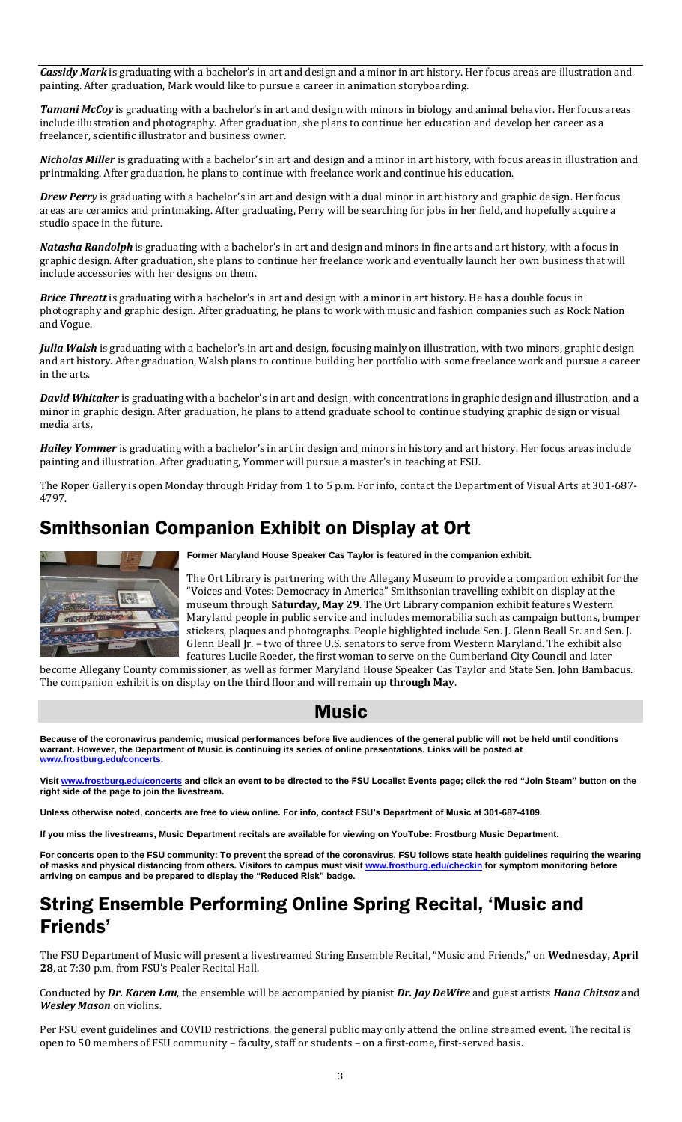*Cassidy Mark* is graduating with a bachelor's in art and design and a minor in art history. Her focus areas are illustration and painting. After graduation, Mark would like to pursue a career in animation storyboarding.

*Tamani McCoy* is graduating with a bachelor's in art and design with minors in biology and animal behavior. Her focus areas include illustration and photography. After graduation, she plans to continue her education and develop her career as a freelancer, scientific illustrator and business owner.

*Nicholas Miller* is graduating with a bachelor's in art and design and a minor in art history, with focus areas in illustration and printmaking. After graduation, he plans to continue with freelance work and continue his education.

*Drew Perry* is graduating with a bachelor's in art and design with a dual minor in art history and graphic design. Her focus areas are ceramics and printmaking. After graduating, Perry will be searching for jobs in her field, and hopefully acquire a studio space in the future.

*Natasha Randolph* is graduating with a bachelor's in art and design and minors in fine arts and art history, with a focus in graphic design. After graduation, she plans to continue her freelance work and eventually launch her own business that will include accessories with her designs on them.

*Brice Threatt* is graduating with a bachelor's in art and design with a minor in art history. He has a double focus in photography and graphic design. After graduating, he plans to work with music and fashion companies such as Rock Nation and Vogue.

*Julia Walsh* is graduating with a bachelor's in art and design, focusing mainly on illustration, with two minors, graphic design and art history. After graduation, Walsh plans to continue building her portfolio with some freelance work and pursue a career in the arts.

*David Whitaker* is graduating with a bachelor's in art and design, with concentrations in graphic design and illustration, and a minor in graphic design. After graduation, he plans to attend graduate school to continue studying graphic design or visual media arts.

*Hailey Yommer* is graduating with a bachelor's in art in design and minors in history and art history. Her focus areas include painting and illustration. After graduating, Yommer will pursue a master's in teaching at FSU.

The Roper Gallery is open Monday through Friday from 1 to 5 p.m. For info, contact the Department of Visual Arts at 301-687- 4797.

## Smithsonian Companion Exhibit on Display at Ort



**Former Maryland House Speaker Cas Taylor is featured in the companion exhibit.**

The Ort Library is partnering with the Allegany Museum to provide a companion exhibit for the "Voices and Votes: Democracy in America" Smithsonian travelling exhibit on display at the museum through **Saturday, May 29**. The Ort Library companion exhibit features Western Maryland people in public service and includes memorabilia such as campaign buttons, bumper stickers, plaques and photographs. People highlighted include Sen. J. Glenn Beall Sr. and Sen. J. Glenn Beall Jr. – two of three U.S. senators to serve from Western Maryland. The exhibit also features Lucile Roeder, the first woman to serve on the Cumberland City Council and later

become Allegany County commissioner, as well as former Maryland House Speaker Cas Taylor and State Sen. John Bambacus. The companion exhibit is on display on the third floor and will remain up **through May**.

### Music

**Because of the coronavirus pandemic, musical performances before live audiences of the general public will not be held until conditions warrant. However, the Department of Music is continuing its series of online presentations. Links will be posted at [www.frostburg.edu/concerts.](http://www.frostburg.edu/concerts)**

**Visit [www.frostburg.edu/concerts](http://www.frostburg.edu/concerts) and click an event to be directed to the FSU Localist Events page; click the red "Join Steam" button on the right side of the page to join the livestream.**

**Unless otherwise noted, concerts are free to view online. For info, contact FSU's Department of Music at 301-687-4109.**

**If you miss the livestreams, Music Department recitals are available for viewing on YouTube: Frostburg Music Department.**

**For concerts open to the FSU community: To prevent the spread of the coronavirus, FSU follows state health guidelines requiring the wearing of masks and physical distancing from others. Visitors to campus must visit [www.frostburg.edu/checkin](http://www.frostburg.edu/checkin) for symptom monitoring before arriving on campus and be prepared to display the "Reduced Risk" badge.**

### String Ensemble Performing Online Spring Recital, 'Music and Friends'

The FSU Department of Music will present a livestreamed String Ensemble Recital, "Music and Friends," on **Wednesday, April 28**, at 7:30 p.m. from FSU's Pealer Recital Hall.

Conducted by *Dr. Karen Lau*, the ensemble will be accompanied by pianist *Dr. Jay DeWire* and guest artists *Hana Chitsaz* and *Wesley Mason* on violins.

Per FSU event guidelines and COVID restrictions, the general public may only attend the online streamed event. The recital is open to 50 members of FSU community – faculty, staff or students – on a first-come, first-served basis.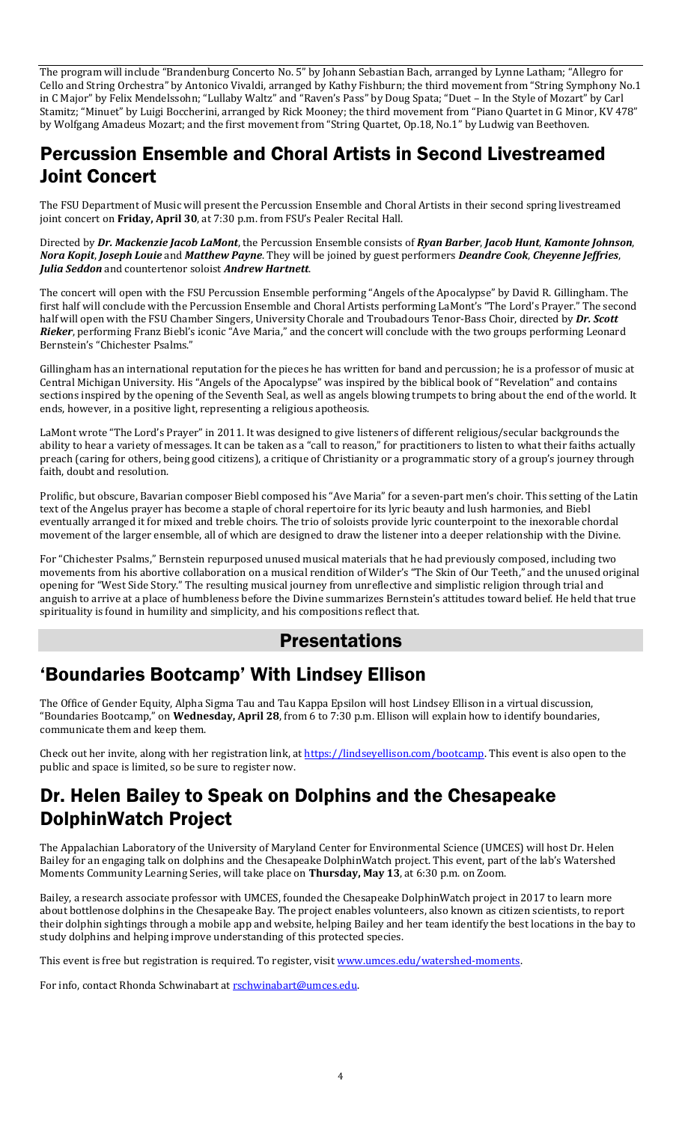The program will include "Brandenburg Concerto No. 5" by Johann Sebastian Bach, arranged by Lynne Latham; "Allegro for Cello and String Orchestra" by Antonico Vivaldi, arranged by Kathy Fishburn; the third movement from "String Symphony No.1 in C Major" by Felix Mendelssohn; "Lullaby Waltz" and "Raven's Pass" by Doug Spata; "Duet – In the Style of Mozart" by Carl Stamitz; "Minuet" by Luigi Boccherini, arranged by Rick Mooney; the third movement from "Piano Quartet in G Minor, KV 478" by Wolfgang Amadeus Mozart; and the first movement from "String Quartet, Op.18, No.1" by Ludwig van Beethoven.

## Percussion Ensemble and Choral Artists in Second Livestreamed Joint Concert

The FSU Department of Music will present the Percussion Ensemble and Choral Artists in their second spring livestreamed joint concert on **Friday, April 30**, at 7:30 p.m. from FSU's Pealer Recital Hall.

Directed by *Dr. Mackenzie Jacob LaMont*, the Percussion Ensemble consists of *Ryan Barber*, *Jacob Hunt*, *Kamonte Johnson*, *Nora Kopit*, *Joseph Louie* and *Matthew Payne*. They will be joined by guest performers *Deandre Cook*, *Cheyenne Jeffries*, *Julia Seddon* and countertenor soloist *Andrew Hartnett*.

The concert will open with the FSU Percussion Ensemble performing "Angels of the Apocalypse" by David R. Gillingham. The first half will conclude with the Percussion Ensemble and Choral Artists performing LaMont's "The Lord's Prayer." The second half will open with the FSU Chamber Singers, University Chorale and Troubadours Tenor-Bass Choir, directed by *Dr. Scott Rieker*, performing Franz Biebl's iconic "Ave Maria," and the concert will conclude with the two groups performing Leonard Bernstein's "Chichester Psalms."

Gillingham has an international reputation for the pieces he has written for band and percussion; he is a professor of music at Central Michigan University. His "Angels of the Apocalypse" was inspired by the biblical book of "Revelation" and contains sections inspired by the opening of the Seventh Seal, as well as angels blowing trumpets to bring about the end of the world. It ends, however, in a positive light, representing a religious apotheosis.

LaMont wrote "The Lord's Prayer" in 2011. It was designed to give listeners of different religious/secular backgrounds the ability to hear a variety of messages. It can be taken as a "call to reason," for practitioners to listen to what their faiths actually preach (caring for others, being good citizens), a critique of Christianity or a programmatic story of a group's journey through faith, doubt and resolution.

Prolific, but obscure, Bavarian composer Biebl composed his "Ave Maria" for a seven-part men's choir. This setting of the Latin text of the Angelus prayer has become a staple of choral repertoire for its lyric beauty and lush harmonies, and Biebl eventually arranged it for mixed and treble choirs. The trio of soloists provide lyric counterpoint to the inexorable chordal movement of the larger ensemble, all of which are designed to draw the listener into a deeper relationship with the Divine.

For "Chichester Psalms," Bernstein repurposed unused musical materials that he had previously composed, including two movements from his abortive collaboration on a musical rendition of Wilder's "The Skin of Our Teeth," and the unused original opening for "West Side Story." The resulting musical journey from unreflective and simplistic religion through trial and anguish to arrive at a place of humbleness before the Divine summarizes Bernstein's attitudes toward belief. He held that true spirituality is found in humility and simplicity, and his compositions reflect that.

### Presentations

### 'Boundaries Bootcamp' With Lindsey Ellison

The Office of Gender Equity, Alpha Sigma Tau and Tau Kappa Epsilon will host Lindsey Ellison in a virtual discussion, "Boundaries Bootcamp," on **Wednesday, April 28**, from 6 to 7:30 p.m. Ellison will explain how to identify boundaries, communicate them and keep them.

Check out her invite, along with her registration link, a[t https://lindseyellison.com/bootcamp.](https://lindseyellison.com/bootcamp) This event is also open to the public and space is limited, so be sure to register now.

### Dr. Helen Bailey to Speak on Dolphins and the Chesapeake DolphinWatch Project

The Appalachian Laboratory of the University of Maryland Center for Environmental Science (UMCES) will host Dr. Helen Bailey for an engaging talk on dolphins and the Chesapeake DolphinWatch project. This event, part of the lab's Watershed Moments Community Learning Series, will take place on **Thursday, May 13**, at 6:30 p.m. on Zoom.

Bailey, a research associate professor with UMCES, founded the Chesapeake DolphinWatch project in 2017 to learn more about bottlenose dolphins in the Chesapeake Bay. The project enables volunteers, also known as citizen scientists, to report their dolphin sightings through a mobile app and website, helping Bailey and her team identify the best locations in the bay to study dolphins and helping improve understanding of this protected species.

This event is free but registration is required. To register, visit [www.umces.edu/watershed-moments.](http://www.umces.edu/watershed-moments)

For info, contact Rhonda Schwinabart at rschwinabart@umces.edu.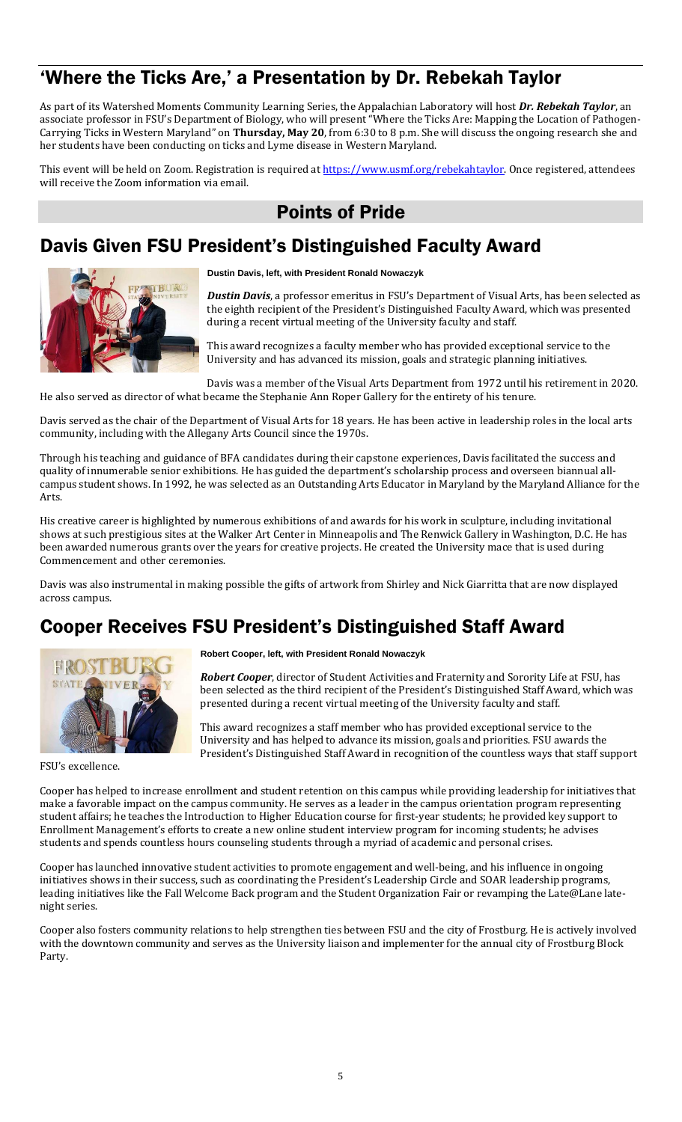## 'Where the Ticks Are,' a Presentation by Dr. Rebekah Taylor

As part of its Watershed Moments Community Learning Series, the Appalachian Laboratory will host *Dr. Rebekah Taylor*, an associate professor in FSU's Department of Biology, who will present "Where the Ticks Are: Mapping the Location of Pathogen-Carrying Ticks in Western Maryland" on **Thursday, May 20**, from 6:30 to 8 p.m. She will discuss the ongoing research she and her students have been conducting on ticks and Lyme disease in Western Maryland.

This event will be held on Zoom. Registration is required at [https://www.usmf.org/rebekahtaylor.](https://www.usmf.org/rebekahtaylor) Once registered, attendees will receive the Zoom information via email.

## Points of Pride

### Davis Given FSU President's Distinguished Faculty Award



**Dustin Davis, left, with President Ronald Nowaczyk**

*Dustin Davis*, a professor emeritus in FSU's Department of Visual Arts, has been selected as the eighth recipient of the President's Distinguished Faculty Award, which was presented during a recent virtual meeting of the University faculty and staff.

This award recognizes a faculty member who has provided exceptional service to the University and has advanced its mission, goals and strategic planning initiatives.

Davis was a member of the Visual Arts Department from 1972 until his retirement in 2020. He also served as director of what became the Stephanie Ann Roper Gallery for the entirety of his tenure.

Davis served as the chair of the Department of Visual Arts for 18 years. He has been active in leadership roles in the local arts community, including with the Allegany Arts Council since the 1970s.

Through his teaching and guidance of BFA candidates during their capstone experiences, Davis facilitated the success and quality of innumerable senior exhibitions. He has guided the department's scholarship process and overseen biannual allcampus student shows. In 1992, he was selected as an Outstanding Arts Educator in Maryland by the Maryland Alliance for the Arts.

His creative career is highlighted by numerous exhibitions of and awards for his work in sculpture, including invitational shows at such prestigious sites at the Walker Art Center in Minneapolis and The Renwick Gallery in Washington, D.C. He has been awarded numerous grants over the years for creative projects. He created the University mace that is used during Commencement and other ceremonies.

Davis was also instrumental in making possible the gifts of artwork from Shirley and Nick Giarritta that are now displayed across campus.

## Cooper Receives FSU President's Distinguished Staff Award



FSU's excellence.

**Robert Cooper, left, with President Ronald Nowaczyk**

*Robert Cooper*, director of Student Activities and Fraternity and Sorority Life at FSU, has been selected as the third recipient of the President's Distinguished Staff Award, which was presented during a recent virtual meeting of the University faculty and staff.

This award recognizes a staff member who has provided exceptional service to the University and has helped to advance its mission, goals and priorities. FSU awards the President's Distinguished Staff Award in recognition of the countless ways that staff support

Cooper has helped to increase enrollment and student retention on this campus while providing leadership for initiatives that make a favorable impact on the campus community. He serves as a leader in the campus orientation program representing student affairs; he teaches the Introduction to Higher Education course for first-year students; he provided key support to Enrollment Management's efforts to create a new online student interview program for incoming students; he advises students and spends countless hours counseling students through a myriad of academic and personal crises.

Cooper has launched innovative student activities to promote engagement and well-being, and his influence in ongoing initiatives shows in their success, such as coordinating the President's Leadership Circle and SOAR leadership programs, leading initiatives like the Fall Welcome Back program and the Student Organization Fair or revamping the Late@Lane latenight series.

Cooper also fosters community relations to help strengthen ties between FSU and the city of Frostburg. He is actively involved with the downtown community and serves as the University liaison and implementer for the annual city of Frostburg Block Party.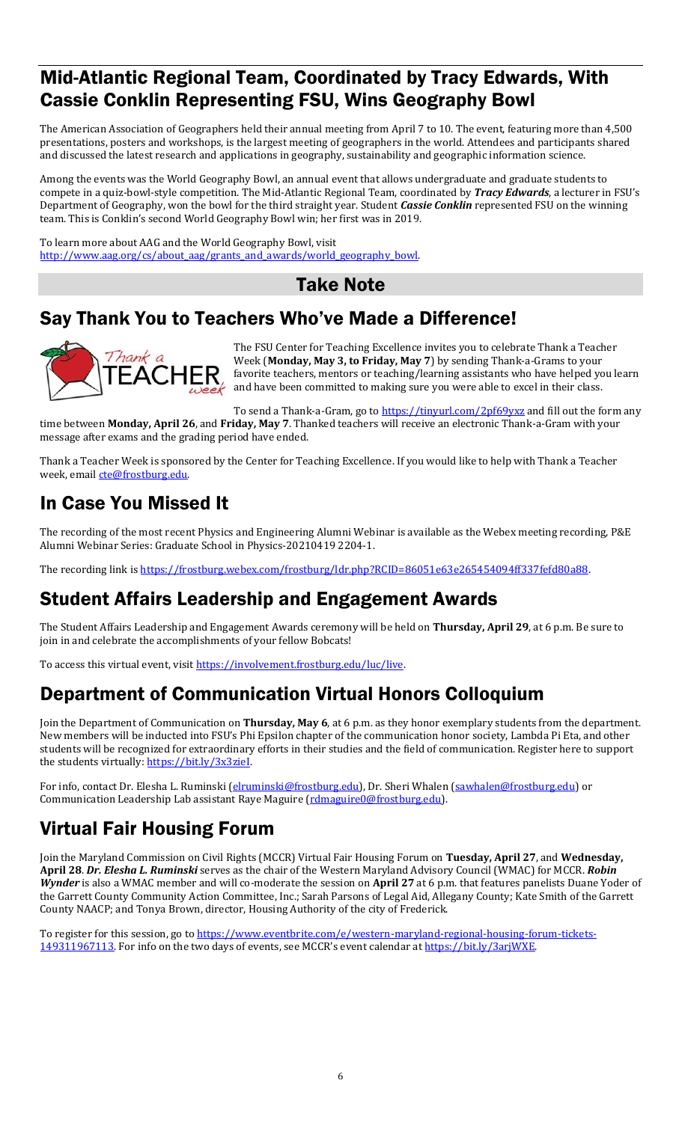### Mid-Atlantic Regional Team, Coordinated by Tracy Edwards, With Cassie Conklin Representing FSU, Wins Geography Bowl

The American Association of Geographers held their annual meeting from April 7 to 10. The event, featuring more than 4,500 presentations, posters and workshops, is the largest meeting of geographers in the world. Attendees and participants shared and discussed the latest research and applications in geography, sustainability and geographic information science.

Among the events was the World Geography Bowl, an annual event that allows undergraduate and graduate students to compete in a quiz-bowl-style competition. The Mid-Atlantic Regional Team, coordinated by *Tracy Edwards*, a lecturer in FSU's Department of Geography, won the bowl for the third straight year. Student *Cassie Conklin* represented FSU on the winning team. This is Conklin's second World Geography Bowl win; her first was in 2019.

To learn more about AAG and the World Geography Bowl, visit http://www.aag.org/cs/about\_aag/grants\_and\_awards/world\_geography\_bowl.

Take Note

### Say Thank You to Teachers Who've Made a Difference!



The FSU Center for Teaching Excellence invites you to celebrate Thank a Teacher Week (**Monday, May 3, to Friday, May 7**) by sending Thank-a-Grams to your favorite teachers, mentors or teaching/learning assistants who have helped you learn and have been committed to making sure you were able to excel in their class.

To send a Thank-a-Gram, go t[o https://tinyurl.com/2pf69yxz](https://tinyurl.com/2pf69yxz) and fill out the form any time between **Monday, April 26**, and **Friday, May 7**. Thanked teachers will receive an electronic Thank-a-Gram with your message after exams and the grading period have ended.

Thank a Teacher Week is sponsored by the Center for Teaching Excellence. If you would like to help with Thank a Teacher week, email [cte@frostburg.edu.](mailto:cte@frostburg.edu)

## In Case You Missed It

The recording of the most recent Physics and Engineering Alumni Webinar is available as the Webex meeting recording, P&E Alumni Webinar Series: Graduate School in Physics-20210419 2204-1.

The recording link i[s https://frostburg.webex.com/frostburg/ldr.php?RCID=86051e63e265454094ff337fefd80a88.](https://frostburg.webex.com/frostburg/ldr.php?RCID=86051e63e265454094ff337fefd80a88)

## Student Affairs Leadership and Engagement Awards

The Student Affairs Leadership and Engagement Awards ceremony will be held on **Thursday, April 29**, at 6 p.m. Be sure to join in and celebrate the accomplishments of your fellow Bobcats!

To access this virtual event, visit https://involvement.frostburg.edu/luc/live.

## Department of Communication Virtual Honors Colloquium

Join the Department of Communication on **Thursday, May 6**, at 6 p.m. as they honor exemplary students from the department. New members will be inducted into FSU's Phi Epsilon chapter of the communication honor society, Lambda Pi Eta, and other students will be recognized for extraordinary efforts in their studies and the field of communication. Register here to support the students virtually: [https://bit.ly/3x3zieI.](https://bit.ly/3x3zieI) 

For info, contact Dr. Elesha L. Ruminski [\(elruminski@frostburg.edu\)](mailto:elruminski@frostburg.edu), Dr. Sheri Whalen [\(sawhalen@frostburg.edu\)](mailto:sawhalen@frostburg.edu) or Communication Leadership Lab assistant Raye Maguire [\(rdmaguire0@frostburg.edu\)](mailto:rdmaguire0@frostburg.edu).

## Virtual Fair Housing Forum

Join the Maryland Commission on Civil Rights (MCCR) Virtual Fair Housing Forum on **Tuesday, April 27**, and **Wednesday, April 28**. *Dr. Elesha L. Ruminski* serves as the chair of the Western Maryland Advisory Council (WMAC) for MCCR. *Robin Wynder* is also a WMAC member and will co-moderate the session on **April 27** at 6 p.m. that features panelists Duane Yoder of the Garrett County Community Action Committee, Inc.; Sarah Parsons of Legal Aid, Allegany County; Kate Smith of the Garrett County NAACP; and Tonya Brown, director, Housing Authority of the city of Frederick.

To register for this session, go to [https://www.eventbrite.com/e/western-maryland-regional-housing-forum-tickets-](https://www.eventbrite.com/e/western-maryland-regional-housing-forum-tickets-149311967113)[149311967113](https://www.eventbrite.com/e/western-maryland-regional-housing-forum-tickets-149311967113). For info on the two days of events, see MCCR's event calendar at [https://bit.ly/3arjWXE.](https://bit.ly/3arjWXE)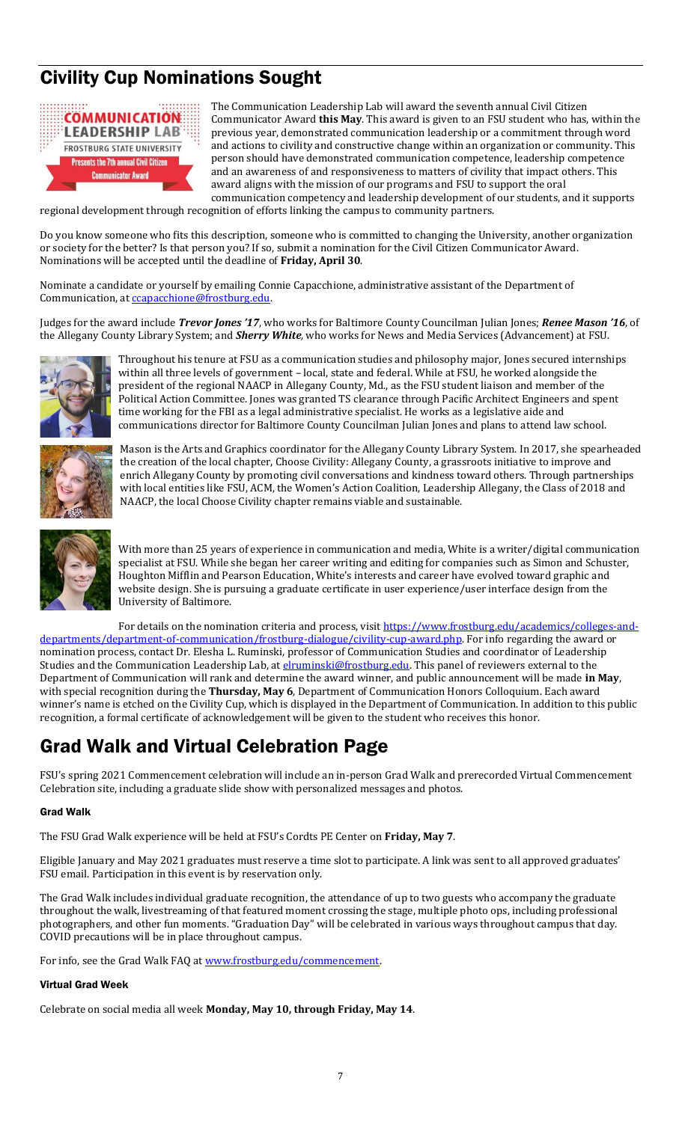# Civility Cup Nominations Sought



The Communication Leadership Lab will award the seventh annual Civil Citizen Communicator Award **this May**. This award is given to an FSU student who has, within the previous year, demonstrated communication leadership or a commitment through word and actions to civility and constructive change within an organization or community. This person should have demonstrated communication competence, leadership competence and an awareness of and responsiveness to matters of civility that impact others. This award aligns with the mission of our programs and FSU to support the oral communication competency and leadership development of our students, and it supports

regional development through recognition of efforts linking the campus to community partners.

Do you know someone who fits this description, someone who is committed to changing the University, another organization or society for the better? Is that person you? If so, submit a nomination for the Civil Citizen Communicator Award. Nominations will be accepted until the deadline of **Friday, April 30**.

Nominate a candidate or yourself by emailing Connie Capacchione, administrative assistant of the Department of Communication, at ccapacchione@frostburg.edu.

Judges for the award include *Trevor Jones '17*, who works for Baltimore County Councilman Julian Jones; *Renee Mason '16*, of the Allegany County Library System; and *Sherry White*, who works for News and Media Services (Advancement) at FSU.



Throughout his tenure at FSU as a communication studies and philosophy major, Jones secured internships within all three levels of government – local, state and federal. While at FSU, he worked alongside the president of the regional NAACP in Allegany County, Md., as the FSU student liaison and member of the Political Action Committee. Jones was granted TS clearance through Pacific Architect Engineers and spent time working for the FBI as a legal administrative specialist. He works as a legislative aide and communications director for Baltimore County Councilman Julian Jones and plans to attend law school.



Mason is the Arts and Graphics coordinator for the Allegany County Library System. In 2017, she spearheaded the creation of the local chapter, Choose Civility: Allegany County, a grassroots initiative to improve and enrich Allegany County by promoting civil conversations and kindness toward others. Through partnerships with local entities like FSU, ACM, the Women's Action Coalition, Leadership Allegany, the Class of 2018 and NAACP, the local Choose Civility chapter remains viable and sustainable.



With more than 25 years of experience in communication and media, White is a writer/digital communication specialist at FSU. While she began her career writing and editing for companies such as Simon and Schuster, Houghton Mifflin and Pearson Education, White's interests and career have evolved toward graphic and website design. She is pursuing a graduate certificate in user experience/user interface design from the University of Baltimore.

For details on the nomination criteria and process, visi[t https://www.frostburg.edu/academics/colleges-and](https://www.frostburg.edu/academics/colleges-and-departments/department-of-communication/frostburg-dialogue/civility-cup-award.php)[departments/department-of-communication/frostburg-dialogue/civility-cup-award.php.](https://www.frostburg.edu/academics/colleges-and-departments/department-of-communication/frostburg-dialogue/civility-cup-award.php) For info regarding the award or nomination process, contact Dr. Elesha L. Ruminski, professor of Communication Studies and coordinator of Leadership Studies and the Communication Leadership Lab, at *elruminski@frostburg.edu*. This panel of reviewers external to the Department of Communication will rank and determine the award winner, and public announcement will be made **in May**, with special recognition during the **Thursday, May 6**, Department of Communication Honors Colloquium. Each award winner's name is etched on the Civility Cup, which is displayed in the Department of Communication. In addition to this public recognition, a formal certificate of acknowledgement will be given to the student who receives this honor.

## Grad Walk and Virtual Celebration Page

FSU's spring 2021 Commencement celebration will include an in-person Grad Walk and prerecorded Virtual Commencement Celebration site, including a graduate slide show with personalized messages and photos.

### Grad Walk

The FSU Grad Walk experience will be held at FSU's Cordts PE Center on **Friday, May 7**.

Eligible January and May 2021 graduates must reserve a time slot to participate. A link was sent to all approved graduates' FSU email. Participation in this event is by reservation only.

The Grad Walk includes individual graduate recognition, the attendance of up to two guests who accompany the graduate throughout the walk, livestreaming of that featured moment crossing the stage, multiple photo ops, including professional photographers, and other fun moments. "Graduation Day" will be celebrated in various ways throughout campus that day. COVID precautions will be in place throughout campus.

For info, see the Grad Walk FAQ at www.frostburg.edu/commencement.

#### Virtual Grad Week

Celebrate on social media all week **Monday, May 10, through Friday, May 14**.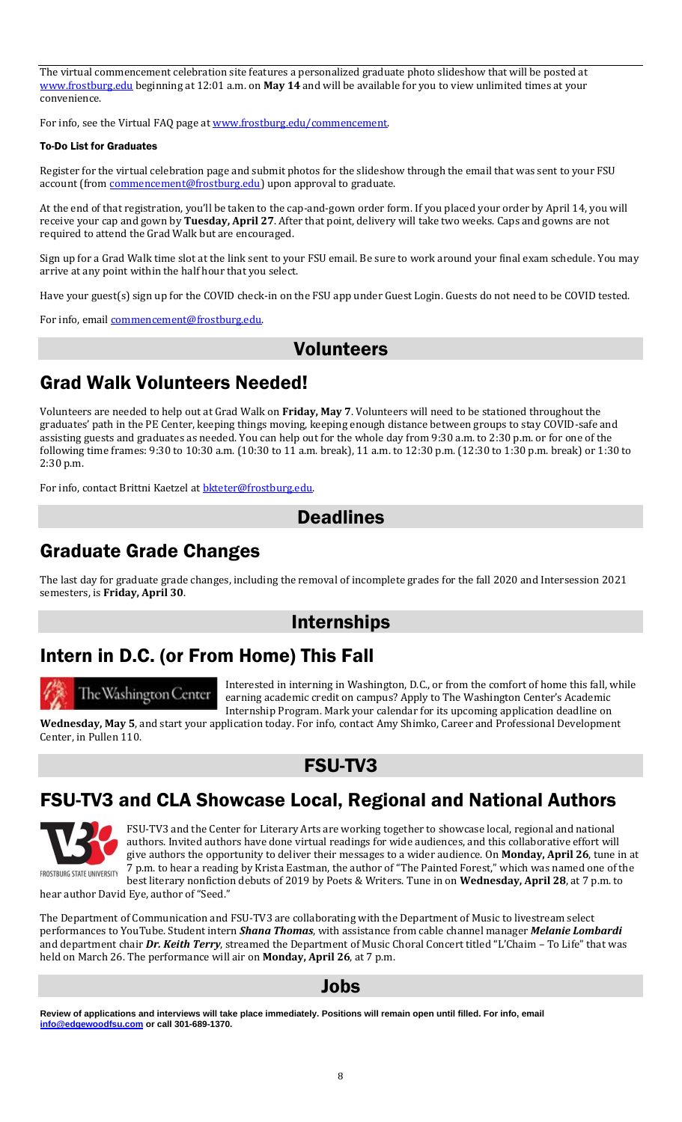The virtual commencement celebration site features a personalized graduate photo slideshow that will be posted at [www.frostburg.edu](http://www.frostburg.edu/) beginning at 12:01 a.m. on **May 14** and will be available for you to view unlimited times at your convenience.

For info, see the Virtual FAQ page at www.frostburg.edu/commencement.

#### To-Do List for Graduates

Register for the virtual celebration page and submit photos for the slideshow through the email that was sent to your FSU account (from *commencement@frostburg.edu*) upon approval to graduate.

At the end of that registration, you'll be taken to the cap-and-gown order form. If you placed your order by April 14, you will receive your cap and gown by **Tuesday, April 27**. After that point, delivery will take two weeks. Caps and gowns are not required to attend the Grad Walk but are encouraged.

Sign up for a Grad Walk time slot at the link sent to your FSU email. Be sure to work around your final exam schedule. You may arrive at any point within the half hour that you select.

Have your guest(s) sign up for the COVID check-in on the FSU app under Guest Login. Guests do not need to be COVID tested.

For info, emai[l commencement@frostburg.edu.](mailto:commencement@frostburg.edu)

### Volunteers

### Grad Walk Volunteers Needed!

Volunteers are needed to help out at Grad Walk on **Friday, May 7**. Volunteers will need to be stationed throughout the graduates' path in the PE Center, keeping things moving, keeping enough distance between groups to stay COVID-safe and assisting guests and graduates as needed. You can help out for the whole day from 9:30 a.m. to 2:30 p.m. or for one of the following time frames: 9:30 to 10:30 a.m. (10:30 to 11 a.m. break), 11 a.m. to 12:30 p.m. (12:30 to 1:30 p.m. break) or 1:30 to 2:30 p.m.

For info, contact Brittni Kaetzel at **bkteter@frostburg.edu**.

### **Deadlines**

### Graduate Grade Changes

The last day for graduate grade changes, including the removal of incomplete grades for the fall 2020 and Intersession 2021 semesters, is **Friday, April 30**.

### Internships

## Intern in D.C. (or From Home) This Fall



Interested in interning in Washington, D.C., or from the comfort of home this fall, while earning academic credit on campus? Apply to The Washington Center's Academic Internship Program. Mark your calendar for its upcoming application deadline on

**Wednesday, May 5**, and start your application today. For info, contact Amy Shimko, Career and Professional Development Center, in Pullen 110.

### FSU-TV3

### FSU-TV3 and CLA Showcase Local, Regional and National Authors



FSU-TV3 and the Center for Literary Arts are working together to showcase local, regional and national authors. Invited authors have done virtual readings for wide audiences, and this collaborative effort will give authors the opportunity to deliver their messages to a wider audience. On **Monday, April 26**, tune in at 7 p.m. to hear a reading by Krista Eastman, the author of "The Painted Forest," which was named one of the best literary nonfiction debuts of 2019 by Poets & Writers. Tune in on **Wednesday, April 28**, at 7 p.m. to

hear author David Eye, author of "Seed."

The Department of Communication and FSU-TV3 are collaborating with the Department of Music to livestream select performances to YouTube. Student intern *Shana Thomas*, with assistance from cable channel manager *Melanie Lombardi* and department chair *Dr. Keith Terry*, streamed the Department of Music Choral Concert titled "L'Chaim – To Life" that was held on March 26. The performance will air on **Monday, April 26**, at 7 p.m.

### Jobs

Review of applications and interviews will take place immediately. Positions will remain open until filled. For info, email **info@edgewoodfsu.com** or call 301-689-1370. **[info@edgewoodfsu.com](mailto:info@edgewoodfsu.com) or call 301-689-1370.**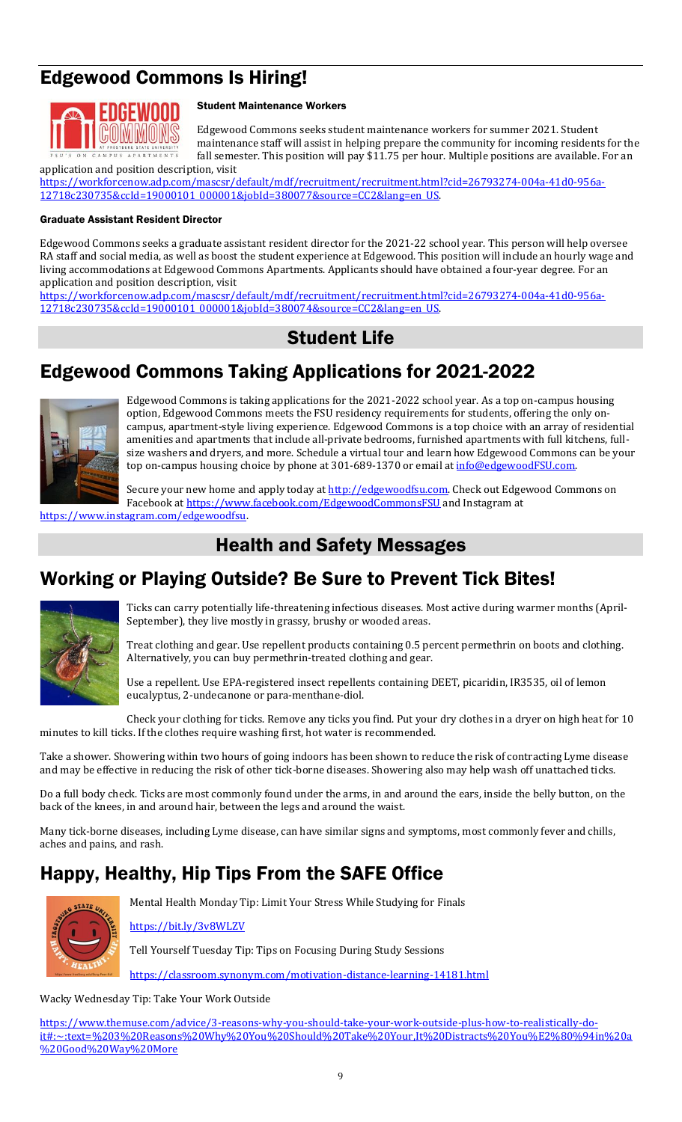# Edgewood Commons Is Hiring!



### Student Maintenance Workers

Edgewood Commons seeks student maintenance workers for summer 2021. Student maintenance staff will assist in helping prepare the community for incoming residents for the fall semester. This position will pay \$11.75 per hour. Multiple positions are available. For an

application and position description, visit [https://workforcenow.adp.com/mascsr/default/mdf/recruitment/recruitment.html?cid=26793274-004a-41d0-956a-](https://workforcenow.adp.com/mascsr/default/mdf/recruitment/recruitment.html?cid=26793274-004a-41d0-956a-12718c230735&ccId=19000101_000001&jobId=380077&source=CC2&lang=en_US)[12718c230735&ccId=19000101\\_000001&jobId=380077&source=CC2&lang=en\\_US.](https://workforcenow.adp.com/mascsr/default/mdf/recruitment/recruitment.html?cid=26793274-004a-41d0-956a-12718c230735&ccId=19000101_000001&jobId=380077&source=CC2&lang=en_US) 

#### Graduate Assistant Resident Director

Edgewood Commons seeks a graduate assistant resident director for the 2021-22 school year. This person will help oversee RA staff and social media, as well as boost the student experience at Edgewood. This position will include an hourly wage and living accommodations at Edgewood Commons Apartments. Applicants should have obtained a four-year degree. For an application and position description, visit

[https://workforcenow.adp.com/mascsr/default/mdf/recruitment/recruitment.html?cid=26793274-004a-41d0-956a-](https://workforcenow.adp.com/mascsr/default/mdf/recruitment/recruitment.html?cid=26793274-004a-41d0-956a-12718c230735&ccId=19000101_000001&jobId=380074&source=CC2&lang=en_US)[12718c230735&ccId=19000101\\_000001&jobId=380074&source=CC2&lang=en\\_US.](https://workforcenow.adp.com/mascsr/default/mdf/recruitment/recruitment.html?cid=26793274-004a-41d0-956a-12718c230735&ccId=19000101_000001&jobId=380074&source=CC2&lang=en_US) 

### Student Life

### Edgewood Commons Taking Applications for 2021-2022



Edgewood Commons is taking applications for the 2021-2022 school year. As a top on-campus housing option, Edgewood Commons meets the FSU residency requirements for students, offering the only oncampus, apartment-style living experience. Edgewood Commons is a top choice with an array of residential amenities and apartments that include all-private bedrooms, furnished apartments with full kitchens, fullsize washers and dryers, and more. Schedule a virtual tour and learn how Edgewood Commons can be your top on-campus housing choice by phone at 301-689-1370 or email at [info@edgewoodFSU.com.](mailto:info@edgewoodFSU.com)

Secure your new home and apply today at [http://edgewoodfsu.com.](http://edgewoodfsu.com/) Check out Edgewood Commons on Facebook a[t https://www.facebook.com/EdgewoodCommonsFSU](https://www.facebook.com/EdgewoodCommonsFSU) and Instagram at

[https://www.instagram.com/edgewoodfsu.](https://www.instagram.com/edgewoodfsu)

### Health and Safety Messages

### Working or Playing Outside? Be Sure to Prevent Tick Bites!



Ticks can carry potentially life-threatening infectious diseases. Most active during warmer months (April-September), they live mostly in grassy, brushy or wooded areas.

Treat clothing and gear. Use repellent products containing 0.5 percent permethrin on boots and clothing. Alternatively, you can buy permethrin-treated clothing and gear.

Use a repellent. Use EPA-registered insect repellents containing DEET, picaridin, IR3535, oil of lemon eucalyptus, 2-undecanone or para-menthane-diol.

Check your clothing for ticks. Remove any ticks you find. Put your dry clothes in a dryer on high heat for 10 minutes to kill ticks. If the clothes require washing first, hot water is recommended.

Take a shower. Showering within two hours of going indoors has been shown to reduce the risk of contracting Lyme disease and may be effective in reducing the risk of other tick-borne diseases. Showering also may help wash off unattached ticks.

Do a full body check. Ticks are most commonly found under the arms, in and around the ears, inside the belly button, on the back of the knees, in and around hair, between the legs and around the waist.

Many tick-borne diseases, including Lyme disease, can have similar signs and symptoms, most commonly fever and chills, aches and pains, and rash.

## Happy, Healthy, Hip Tips From the SAFE Office



Mental Health Monday Tip: Limit Your Stress While Studying for Finals

<https://bit.ly/3v8WLZV>

Tell Yourself Tuesday Tip: Tips on Focusing During Study Sessions

<https://classroom.synonym.com/motivation-distance-learning-14181.html>

Wacky Wednesday Tip: Take Your Work Outside

[https://www.themuse.com/advice/3-reasons-why-you-should-take-your-work-outside-plus-how-to-realistically-do](https://www.themuse.com/advice/3-reasons-why-you-should-take-your-work-outside-plus-how-to-realistically-do-it#:~:text=%203%20Reasons%20Why%20You%20Should%20Take%20Your,It%20Distracts%20You%E2%80%94in%20a%20Good%20Way%20More)[it#:~:text=%203%20Reasons%20Why%20You%20Should%20Take%20Your,It%20Distracts%20You%E2%80%94in%20a](https://www.themuse.com/advice/3-reasons-why-you-should-take-your-work-outside-plus-how-to-realistically-do-it#:~:text=%203%20Reasons%20Why%20You%20Should%20Take%20Your,It%20Distracts%20You%E2%80%94in%20a%20Good%20Way%20More) [%20Good%20Way%20More](https://www.themuse.com/advice/3-reasons-why-you-should-take-your-work-outside-plus-how-to-realistically-do-it#:~:text=%203%20Reasons%20Why%20You%20Should%20Take%20Your,It%20Distracts%20You%E2%80%94in%20a%20Good%20Way%20More)